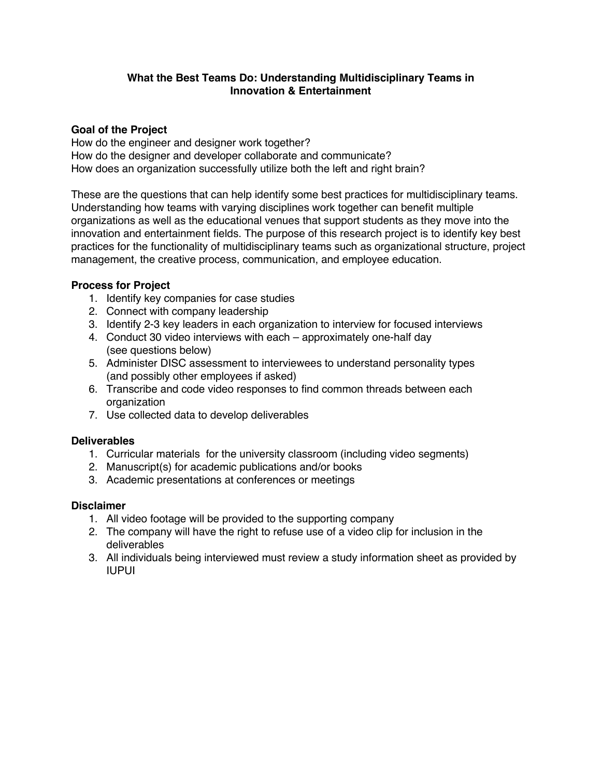# **What the Best Teams Do: Understanding Multidisciplinary Teams in Innovation & Entertainment**

## **Goal of the Project**

How do the engineer and designer work together? How do the designer and developer collaborate and communicate? How does an organization successfully utilize both the left and right brain?

These are the questions that can help identify some best practices for multidisciplinary teams. Understanding how teams with varying disciplines work together can benefit multiple organizations as well as the educational venues that support students as they move into the innovation and entertainment fields. The purpose of this research project is to identify key best practices for the functionality of multidisciplinary teams such as organizational structure, project management, the creative process, communication, and employee education.

# **Process for Project**

- 1. Identify key companies for case studies
- 2. Connect with company leadership
- 3. Identify 2-3 key leaders in each organization to interview for focused interviews
- 4. Conduct 30 video interviews with each approximately one-half day (see questions below)
- 5. Administer DISC assessment to interviewees to understand personality types (and possibly other employees if asked)
- 6. Transcribe and code video responses to find common threads between each organization
- 7. Use collected data to develop deliverables

#### **Deliverables**

- 1. Curricular materials for the university classroom (including video segments)
- 2. Manuscript(s) for academic publications and/or books
- 3. Academic presentations at conferences or meetings

#### **Disclaimer**

- 1. All video footage will be provided to the supporting company
- 2. The company will have the right to refuse use of a video clip for inclusion in the deliverables
- 3. All individuals being interviewed must review a study information sheet as provided by IUPUI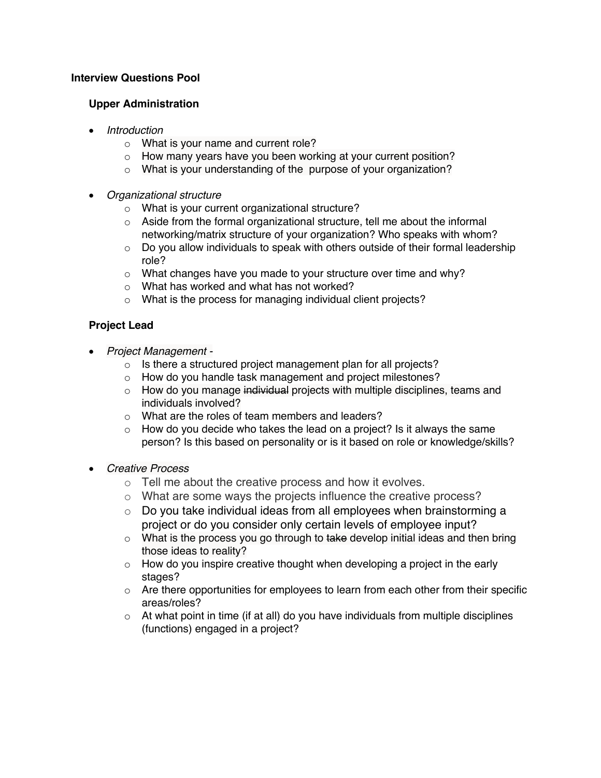# **Interview Questions Pool**

## **Upper Administration**

- *Introduction*
	- o What is your name and current role?
	- o How many years have you been working at your current position?
	- o What is your understanding of the purpose of your organization?
- *Organizational structure*
	- o What is your current organizational structure?
	- o Aside from the formal organizational structure, tell me about the informal networking/matrix structure of your organization? Who speaks with whom?
	- o Do you allow individuals to speak with others outside of their formal leadership role?
	- o What changes have you made to your structure over time and why?
	- o What has worked and what has not worked?
	- o What is the process for managing individual client projects?

# **Project Lead**

- *Project Management* 
	- o Is there a structured project management plan for all projects?
	- o How do you handle task management and project milestones?
	- $\circ$  How do you manage individual projects with multiple disciplines, teams and individuals involved?
	- o What are the roles of team members and leaders?
	- $\circ$  How do you decide who takes the lead on a project? Is it always the same person? Is this based on personality or is it based on role or knowledge/skills?
- *Creative Process*
	- o Tell me about the creative process and how it evolves.
	- o What are some ways the projects influence the creative process?
	- $\circ$  Do you take individual ideas from all employees when brainstorming a project or do you consider only certain levels of employee input?
	- $\circ$  What is the process you go through to take develop initial ideas and then bring those ideas to reality?
	- $\circ$  How do you inspire creative thought when developing a project in the early stages?
	- $\circ$  Are there opportunities for employees to learn from each other from their specific areas/roles?
	- $\circ$  At what point in time (if at all) do you have individuals from multiple disciplines (functions) engaged in a project?